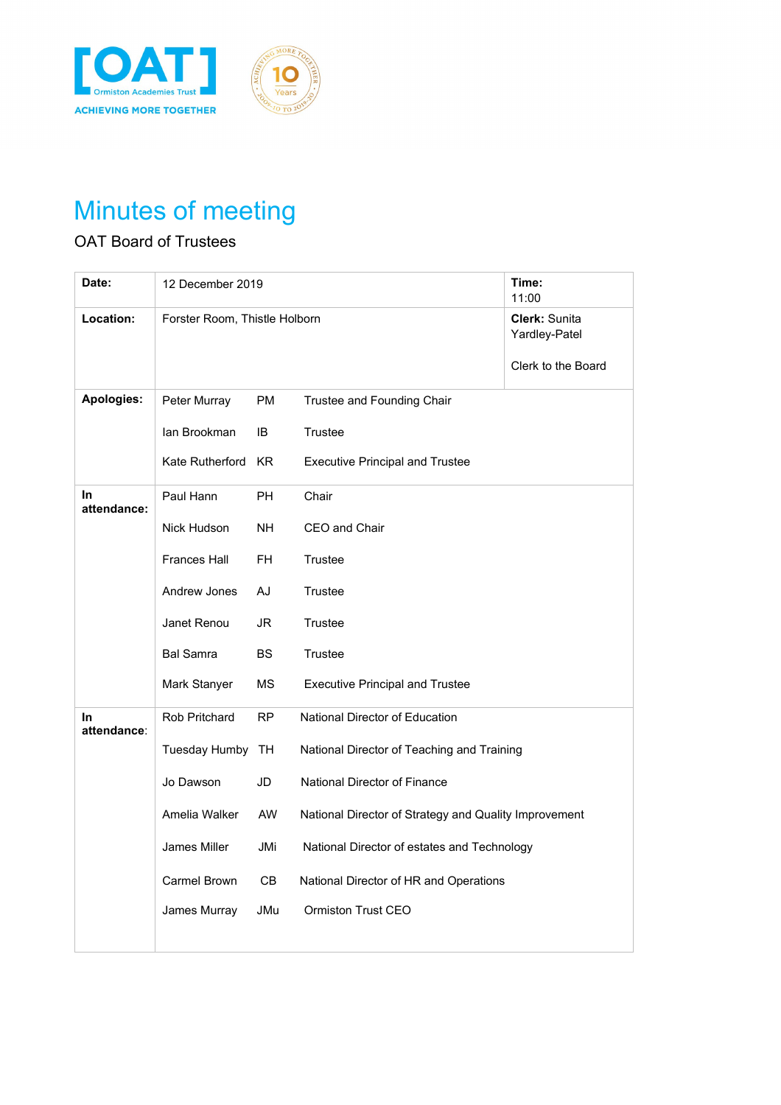



## Minutes of meeting

## OAT Board of Trustees

| Date:                    | 12 December 2019              |           |                                                       | Time:<br>11:00                                       |
|--------------------------|-------------------------------|-----------|-------------------------------------------------------|------------------------------------------------------|
| Location:                | Forster Room, Thistle Holborn |           |                                                       | Clerk: Sunita<br>Yardley-Patel<br>Clerk to the Board |
| Apologies:               | Peter Murray                  | <b>PM</b> | Trustee and Founding Chair                            |                                                      |
|                          | lan Brookman                  | IB        | Trustee                                               |                                                      |
|                          | Kate Rutherford               | KR.       | <b>Executive Principal and Trustee</b>                |                                                      |
| In.<br>attendance:       | Paul Hann                     | <b>PH</b> | Chair                                                 |                                                      |
|                          | Nick Hudson                   | <b>NH</b> | CEO and Chair                                         |                                                      |
|                          | <b>Frances Hall</b>           | FH        | Trustee                                               |                                                      |
|                          | Andrew Jones                  | AJ        | Trustee                                               |                                                      |
|                          | Janet Renou                   | JR        | Trustee                                               |                                                      |
|                          | <b>Bal Samra</b>              | <b>BS</b> | Trustee                                               |                                                      |
|                          | Mark Stanyer                  | МS        | <b>Executive Principal and Trustee</b>                |                                                      |
| <b>In</b><br>attendance: | <b>Rob Pritchard</b>          | RP        | National Director of Education                        |                                                      |
|                          | Tuesday Humby                 | TH        | National Director of Teaching and Training            |                                                      |
|                          | Jo Dawson                     | JD        | National Director of Finance                          |                                                      |
|                          | Amelia Walker                 | AW        | National Director of Strategy and Quality Improvement |                                                      |
|                          | James Miller                  | JMi       | National Director of estates and Technology           |                                                      |
|                          | Carmel Brown                  | CB.       | National Director of HR and Operations                |                                                      |
|                          | James Murray                  | JMu       | <b>Ormiston Trust CEO</b>                             |                                                      |
|                          |                               |           |                                                       |                                                      |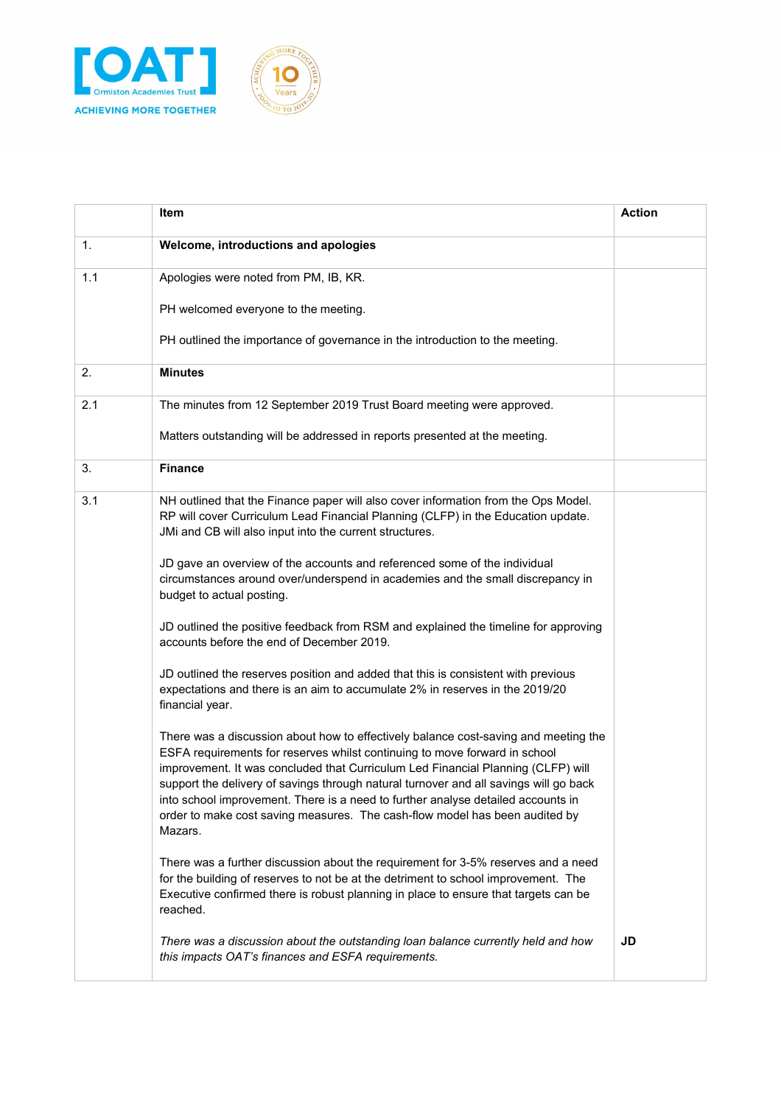

|     | Item                                                                                                                                                                                                                                                                                                                                                                                                                                                                                                                         | <b>Action</b> |
|-----|------------------------------------------------------------------------------------------------------------------------------------------------------------------------------------------------------------------------------------------------------------------------------------------------------------------------------------------------------------------------------------------------------------------------------------------------------------------------------------------------------------------------------|---------------|
| 1.  | Welcome, introductions and apologies                                                                                                                                                                                                                                                                                                                                                                                                                                                                                         |               |
| 1.1 | Apologies were noted from PM, IB, KR.                                                                                                                                                                                                                                                                                                                                                                                                                                                                                        |               |
|     | PH welcomed everyone to the meeting.                                                                                                                                                                                                                                                                                                                                                                                                                                                                                         |               |
|     | PH outlined the importance of governance in the introduction to the meeting.                                                                                                                                                                                                                                                                                                                                                                                                                                                 |               |
| 2.  | <b>Minutes</b>                                                                                                                                                                                                                                                                                                                                                                                                                                                                                                               |               |
| 2.1 | The minutes from 12 September 2019 Trust Board meeting were approved.                                                                                                                                                                                                                                                                                                                                                                                                                                                        |               |
|     | Matters outstanding will be addressed in reports presented at the meeting.                                                                                                                                                                                                                                                                                                                                                                                                                                                   |               |
| 3.  | <b>Finance</b>                                                                                                                                                                                                                                                                                                                                                                                                                                                                                                               |               |
| 3.1 | NH outlined that the Finance paper will also cover information from the Ops Model.<br>RP will cover Curriculum Lead Financial Planning (CLFP) in the Education update.<br>JMi and CB will also input into the current structures.                                                                                                                                                                                                                                                                                            |               |
|     | JD gave an overview of the accounts and referenced some of the individual<br>circumstances around over/underspend in academies and the small discrepancy in<br>budget to actual posting.                                                                                                                                                                                                                                                                                                                                     |               |
|     | JD outlined the positive feedback from RSM and explained the timeline for approving<br>accounts before the end of December 2019.                                                                                                                                                                                                                                                                                                                                                                                             |               |
|     | JD outlined the reserves position and added that this is consistent with previous<br>expectations and there is an aim to accumulate 2% in reserves in the 2019/20<br>financial year.                                                                                                                                                                                                                                                                                                                                         |               |
|     | There was a discussion about how to effectively balance cost-saving and meeting the<br>ESFA requirements for reserves whilst continuing to move forward in school<br>improvement. It was concluded that Curriculum Led Financial Planning (CLFP) will<br>support the delivery of savings through natural turnover and all savings will go back<br>into school improvement. There is a need to further analyse detailed accounts in<br>order to make cost saving measures. The cash-flow model has been audited by<br>Mazars. |               |
|     | There was a further discussion about the requirement for 3-5% reserves and a need<br>for the building of reserves to not be at the detriment to school improvement. The<br>Executive confirmed there is robust planning in place to ensure that targets can be<br>reached.                                                                                                                                                                                                                                                   |               |
|     | There was a discussion about the outstanding loan balance currently held and how<br>this impacts OAT's finances and ESFA requirements.                                                                                                                                                                                                                                                                                                                                                                                       | JD            |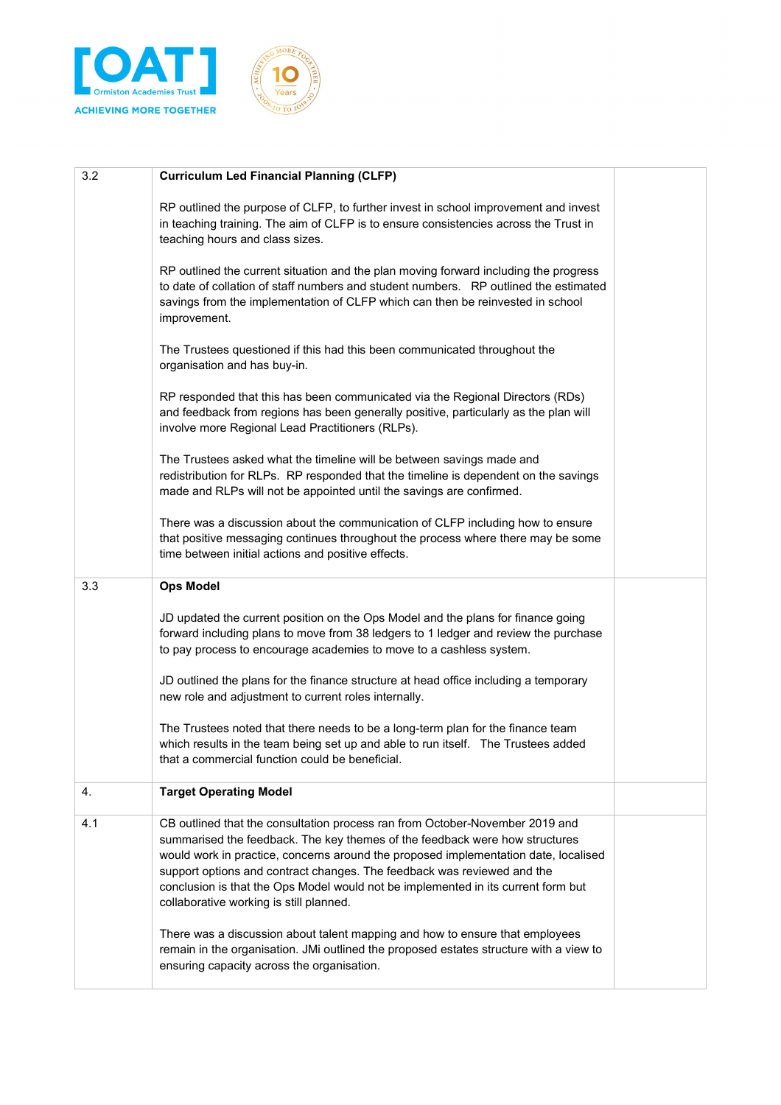



| 3.2 | <b>Curriculum Led Financial Planning (CLFP)</b>                                                                                                                                                                                                                                                                                                                                                                                                               |  |
|-----|---------------------------------------------------------------------------------------------------------------------------------------------------------------------------------------------------------------------------------------------------------------------------------------------------------------------------------------------------------------------------------------------------------------------------------------------------------------|--|
|     | RP outlined the purpose of CLFP, to further invest in school improvement and invest<br>in teaching training. The aim of CLFP is to ensure consistencies across the Trust in<br>teaching hours and class sizes.                                                                                                                                                                                                                                                |  |
|     | RP outlined the current situation and the plan moving forward including the progress<br>to date of collation of staff numbers and student numbers. RP outlined the estimated<br>savings from the implementation of CLFP which can then be reinvested in school<br>improvement.                                                                                                                                                                                |  |
|     | The Trustees questioned if this had this been communicated throughout the<br>organisation and has buy-in.                                                                                                                                                                                                                                                                                                                                                     |  |
|     | RP responded that this has been communicated via the Regional Directors (RDs)<br>and feedback from regions has been generally positive, particularly as the plan will<br>involve more Regional Lead Practitioners (RLPs).                                                                                                                                                                                                                                     |  |
|     | The Trustees asked what the timeline will be between savings made and<br>redistribution for RLPs. RP responded that the timeline is dependent on the savings<br>made and RLPs will not be appointed until the savings are confirmed.                                                                                                                                                                                                                          |  |
|     | There was a discussion about the communication of CLFP including how to ensure<br>that positive messaging continues throughout the process where there may be some<br>time between initial actions and positive effects.                                                                                                                                                                                                                                      |  |
| 3.3 | <b>Ops Model</b>                                                                                                                                                                                                                                                                                                                                                                                                                                              |  |
|     | JD updated the current position on the Ops Model and the plans for finance going<br>forward including plans to move from 38 ledgers to 1 ledger and review the purchase<br>to pay process to encourage academies to move to a cashless system.                                                                                                                                                                                                                |  |
|     | JD outlined the plans for the finance structure at head office including a temporary<br>new role and adjustment to current roles internally.                                                                                                                                                                                                                                                                                                                  |  |
|     | The Trustees noted that there needs to be a long-term plan for the finance team<br>which results in the team being set up and able to run itself.  The Trustees added<br>that a commercial function could be beneficial.                                                                                                                                                                                                                                      |  |
| 4.  | <b>Target Operating Model</b>                                                                                                                                                                                                                                                                                                                                                                                                                                 |  |
| 4.1 | CB outlined that the consultation process ran from October-November 2019 and<br>summarised the feedback. The key themes of the feedback were how structures<br>would work in practice, concerns around the proposed implementation date, localised<br>support options and contract changes. The feedback was reviewed and the<br>conclusion is that the Ops Model would not be implemented in its current form but<br>collaborative working is still planned. |  |
|     | There was a discussion about talent mapping and how to ensure that employees<br>remain in the organisation. JMi outlined the proposed estates structure with a view to<br>ensuring capacity across the organisation.                                                                                                                                                                                                                                          |  |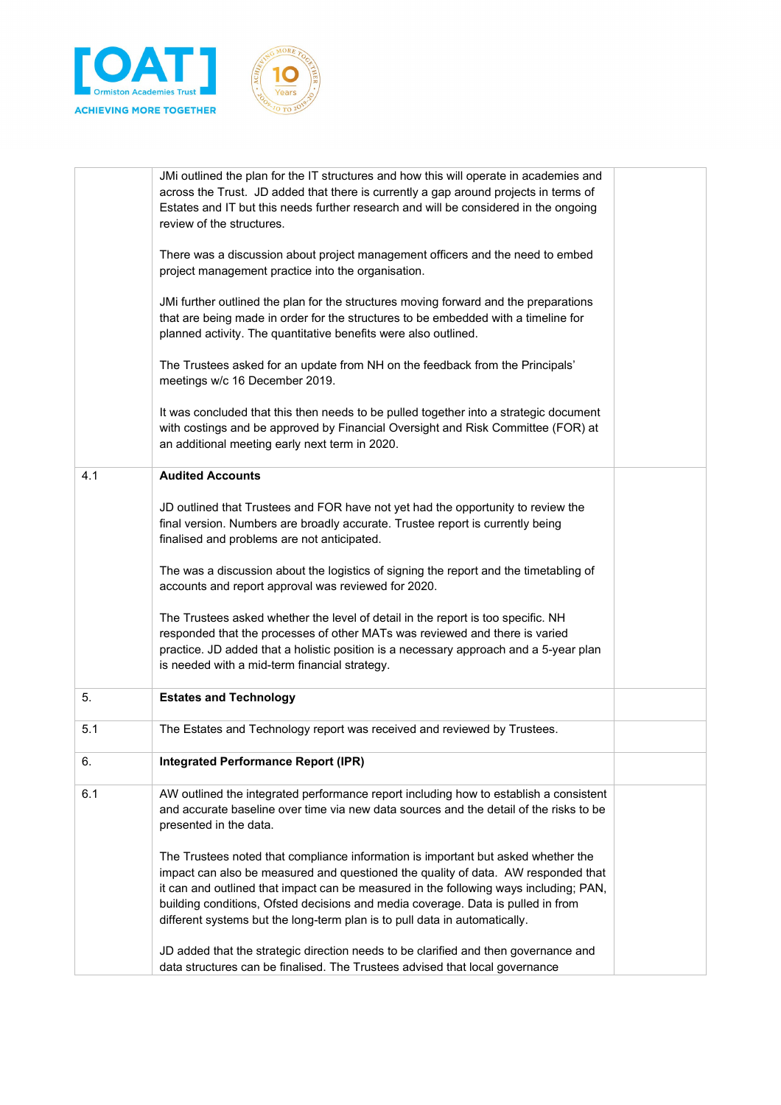



|     | JMi outlined the plan for the IT structures and how this will operate in academies and<br>across the Trust. JD added that there is currently a gap around projects in terms of<br>Estates and IT but this needs further research and will be considered in the ongoing<br>review of the structures.       |  |
|-----|-----------------------------------------------------------------------------------------------------------------------------------------------------------------------------------------------------------------------------------------------------------------------------------------------------------|--|
|     | There was a discussion about project management officers and the need to embed<br>project management practice into the organisation.                                                                                                                                                                      |  |
|     | JMi further outlined the plan for the structures moving forward and the preparations<br>that are being made in order for the structures to be embedded with a timeline for<br>planned activity. The quantitative benefits were also outlined.                                                             |  |
|     | The Trustees asked for an update from NH on the feedback from the Principals'<br>meetings w/c 16 December 2019.                                                                                                                                                                                           |  |
|     | It was concluded that this then needs to be pulled together into a strategic document<br>with costings and be approved by Financial Oversight and Risk Committee (FOR) at<br>an additional meeting early next term in 2020.                                                                               |  |
| 4.1 | <b>Audited Accounts</b>                                                                                                                                                                                                                                                                                   |  |
|     | JD outlined that Trustees and FOR have not yet had the opportunity to review the<br>final version. Numbers are broadly accurate. Trustee report is currently being<br>finalised and problems are not anticipated.                                                                                         |  |
|     | The was a discussion about the logistics of signing the report and the timetabling of<br>accounts and report approval was reviewed for 2020.                                                                                                                                                              |  |
|     | The Trustees asked whether the level of detail in the report is too specific. NH<br>responded that the processes of other MATs was reviewed and there is varied<br>practice. JD added that a holistic position is a necessary approach and a 5-year plan<br>is needed with a mid-term financial strategy. |  |
| 5.  | <b>Estates and Technology</b>                                                                                                                                                                                                                                                                             |  |
| 5.1 | The Estates and Technology report was received and reviewed by Trustees.                                                                                                                                                                                                                                  |  |
| 6.  | <b>Integrated Performance Report (IPR)</b>                                                                                                                                                                                                                                                                |  |
| 6.1 | AW outlined the integrated performance report including how to establish a consistent<br>and accurate baseline over time via new data sources and the detail of the risks to be<br>presented in the data.                                                                                                 |  |
|     | The Trustees noted that compliance information is important but asked whether the<br>impact can also be measured and questioned the quality of data. AW responded that                                                                                                                                    |  |
|     | it can and outlined that impact can be measured in the following ways including; PAN,                                                                                                                                                                                                                     |  |
|     | building conditions, Ofsted decisions and media coverage. Data is pulled in from<br>different systems but the long-term plan is to pull data in automatically.                                                                                                                                            |  |
|     | JD added that the strategic direction needs to be clarified and then governance and<br>data structures can be finalised. The Trustees advised that local governance                                                                                                                                       |  |
|     |                                                                                                                                                                                                                                                                                                           |  |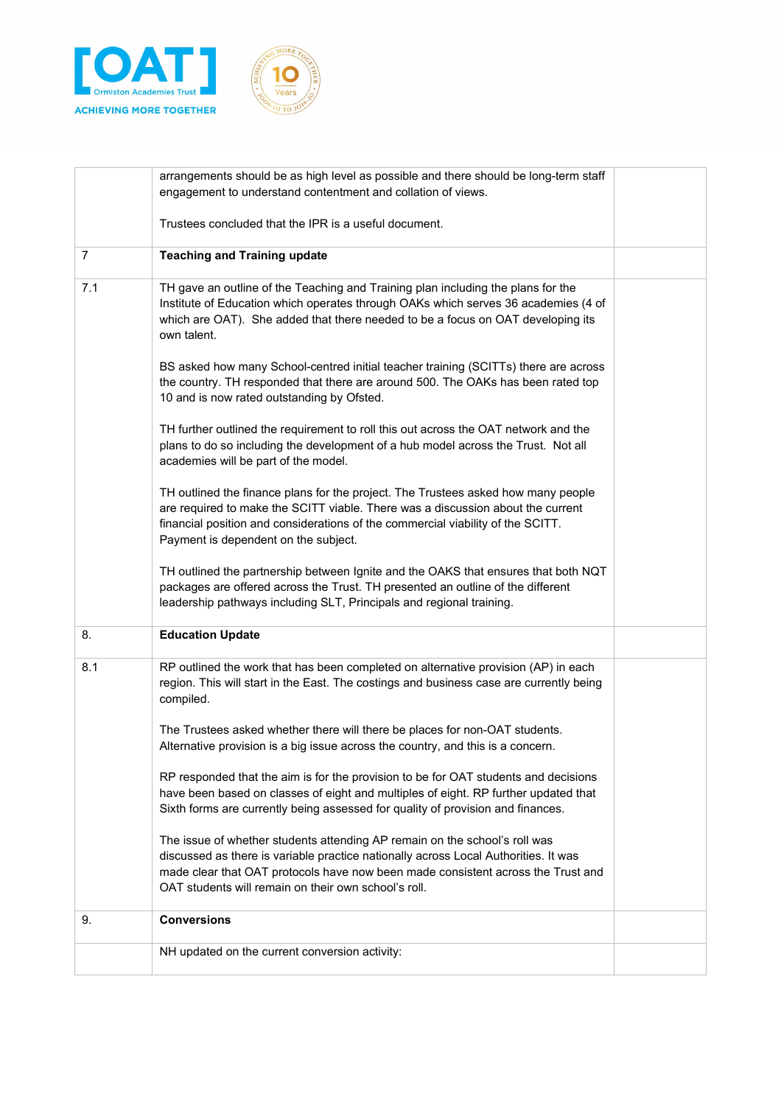



|     | arrangements should be as high level as possible and there should be long-term staff<br>engagement to understand contentment and collation of views.                                                                                                                                                          |  |
|-----|---------------------------------------------------------------------------------------------------------------------------------------------------------------------------------------------------------------------------------------------------------------------------------------------------------------|--|
|     | Trustees concluded that the IPR is a useful document.                                                                                                                                                                                                                                                         |  |
| 7   | <b>Teaching and Training update</b>                                                                                                                                                                                                                                                                           |  |
| 7.1 | TH gave an outline of the Teaching and Training plan including the plans for the<br>Institute of Education which operates through OAKs which serves 36 academies (4 of<br>which are OAT). She added that there needed to be a focus on OAT developing its<br>own talent.                                      |  |
|     | BS asked how many School-centred initial teacher training (SCITTs) there are across<br>the country. TH responded that there are around 500. The OAKs has been rated top<br>10 and is now rated outstanding by Ofsted.                                                                                         |  |
|     | TH further outlined the requirement to roll this out across the OAT network and the<br>plans to do so including the development of a hub model across the Trust. Not all<br>academies will be part of the model.                                                                                              |  |
|     | TH outlined the finance plans for the project. The Trustees asked how many people<br>are required to make the SCITT viable. There was a discussion about the current<br>financial position and considerations of the commercial viability of the SCITT.<br>Payment is dependent on the subject.               |  |
|     | TH outlined the partnership between Ignite and the OAKS that ensures that both NQT<br>packages are offered across the Trust. TH presented an outline of the different<br>leadership pathways including SLT, Principals and regional training.                                                                 |  |
| 8.  | <b>Education Update</b>                                                                                                                                                                                                                                                                                       |  |
| 8.1 | RP outlined the work that has been completed on alternative provision (AP) in each<br>region. This will start in the East. The costings and business case are currently being<br>compiled.                                                                                                                    |  |
|     | The Trustees asked whether there will there be places for non-OAT students.<br>Alternative provision is a big issue across the country, and this is a concern.                                                                                                                                                |  |
|     | RP responded that the aim is for the provision to be for OAT students and decisions<br>have been based on classes of eight and multiples of eight. RP further updated that<br>Sixth forms are currently being assessed for quality of provision and finances.                                                 |  |
|     | The issue of whether students attending AP remain on the school's roll was<br>discussed as there is variable practice nationally across Local Authorities. It was<br>made clear that OAT protocols have now been made consistent across the Trust and<br>OAT students will remain on their own school's roll. |  |
| 9.  | <b>Conversions</b>                                                                                                                                                                                                                                                                                            |  |
|     | NH updated on the current conversion activity:                                                                                                                                                                                                                                                                |  |